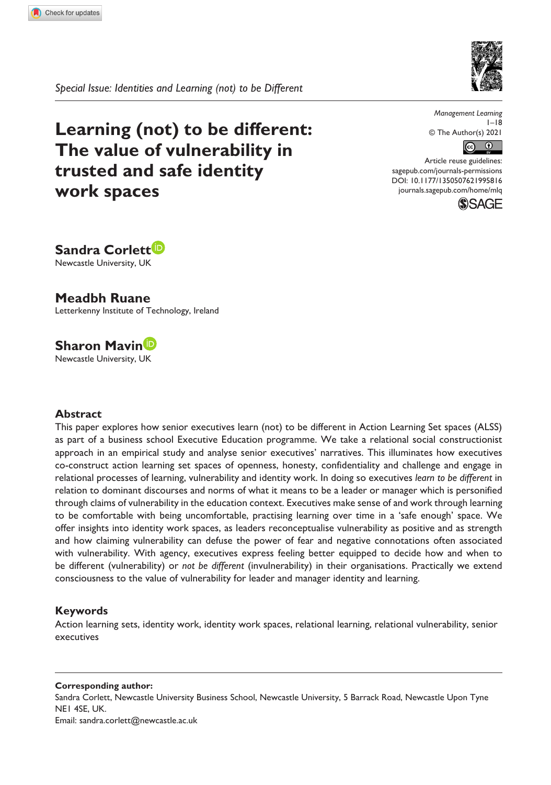

*Special Issue: Identities and Learning (not) to be Different*

**Learning (not) to be different: The value of vulnerability in trusted and safe identity work spaces**

*Management Learning*  $1-18$ © The Author(s) 2021



DOI: 10.1177/1350507621995816 Article reuse guidelines: [sagepub.com/journals-permissions](https://uk.sagepub.com/en-gb/journals-permissions) [journals.sagepub.com/home/mlq](https://journals.sagepub.com/home/mlq)





**Meadbh Ruane** Letterkenny Institute of Technology, Ireland

# **Sharon Mavin**

Newcastle University, UK

#### **Abstract**

This paper explores how senior executives learn (not) to be different in Action Learning Set spaces (ALSS) as part of a business school Executive Education programme. We take a relational social constructionist approach in an empirical study and analyse senior executives' narratives. This illuminates how executives co-construct action learning set spaces of openness, honesty, confidentiality and challenge and engage in relational processes of learning, vulnerability and identity work. In doing so executives *learn to be different* in relation to dominant discourses and norms of what it means to be a leader or manager which is personified through claims of vulnerability in the education context. Executives make sense of and work through learning to be comfortable with being uncomfortable, practising learning over time in a 'safe enough' space. We offer insights into identity work spaces, as leaders reconceptualise vulnerability as positive and as strength and how claiming vulnerability can defuse the power of fear and negative connotations often associated with vulnerability. With agency, executives express feeling better equipped to decide how and when to be different (vulnerability) or *not be different* (invulnerability) in their organisations. Practically we extend consciousness to the value of vulnerability for leader and manager identity and learning.

#### **Keywords**

Action learning sets, identity work, identity work spaces, relational learning, relational vulnerability, senior executives

**Corresponding author:** Sandra Corlett, Newcastle University Business School, Newcastle University, 5 Barrack Road, Newcastle Upon Tyne NE1 4SE, UK. Email: [sandra.corlett@newcastle.ac.uk](mailto:sandra.corlett@newcastle.ac.uk)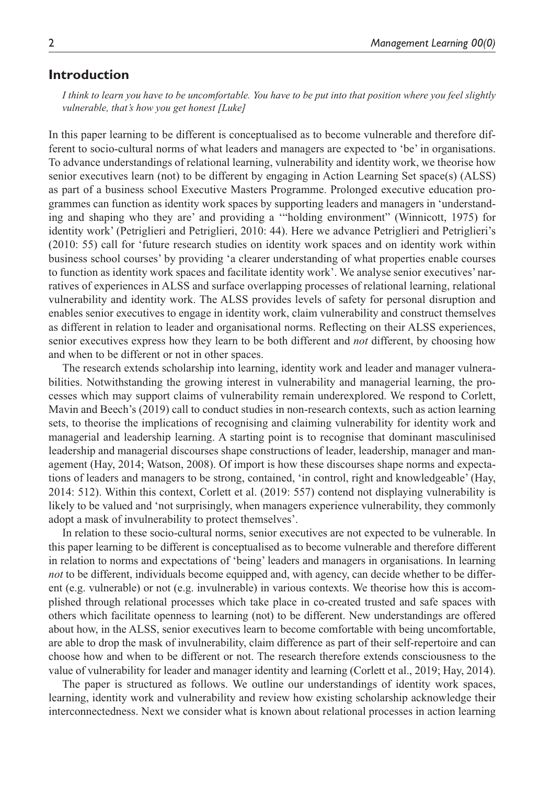## **Introduction**

*I think to learn you have to be uncomfortable. You have to be put into that position where you feel slightly vulnerable, that's how you get honest [Luke]*

In this paper learning to be different is conceptualised as to become vulnerable and therefore different to socio-cultural norms of what leaders and managers are expected to 'be' in organisations. To advance understandings of relational learning, vulnerability and identity work, we theorise how senior executives learn (not) to be different by engaging in Action Learning Set space(s) (ALSS) as part of a business school Executive Masters Programme. Prolonged executive education programmes can function as identity work spaces by supporting leaders and managers in 'understanding and shaping who they are' and providing a '"holding environment" (Winnicott, 1975) for identity work' (Petriglieri and Petriglieri, 2010: 44). Here we advance Petriglieri and Petriglieri's (2010: 55) call for 'future research studies on identity work spaces and on identity work within business school courses' by providing 'a clearer understanding of what properties enable courses to function as identity work spaces and facilitate identity work'. We analyse senior executives' narratives of experiences in ALSS and surface overlapping processes of relational learning, relational vulnerability and identity work. The ALSS provides levels of safety for personal disruption and enables senior executives to engage in identity work, claim vulnerability and construct themselves as different in relation to leader and organisational norms. Reflecting on their ALSS experiences, senior executives express how they learn to be both different and *not* different, by choosing how and when to be different or not in other spaces.

The research extends scholarship into learning, identity work and leader and manager vulnerabilities. Notwithstanding the growing interest in vulnerability and managerial learning, the processes which may support claims of vulnerability remain underexplored. We respond to Corlett, Mavin and Beech's (2019) call to conduct studies in non-research contexts, such as action learning sets, to theorise the implications of recognising and claiming vulnerability for identity work and managerial and leadership learning. A starting point is to recognise that dominant masculinised leadership and managerial discourses shape constructions of leader, leadership, manager and management (Hay, 2014; Watson, 2008). Of import is how these discourses shape norms and expectations of leaders and managers to be strong, contained, 'in control, right and knowledgeable' (Hay, 2014: 512). Within this context, Corlett et al. (2019: 557) contend not displaying vulnerability is likely to be valued and 'not surprisingly, when managers experience vulnerability, they commonly adopt a mask of invulnerability to protect themselves'.

In relation to these socio-cultural norms, senior executives are not expected to be vulnerable. In this paper learning to be different is conceptualised as to become vulnerable and therefore different in relation to norms and expectations of 'being' leaders and managers in organisations. In learning *not* to be different, individuals become equipped and, with agency, can decide whether to be different (e.g. vulnerable) or not (e.g. invulnerable) in various contexts. We theorise how this is accomplished through relational processes which take place in co-created trusted and safe spaces with others which facilitate openness to learning (not) to be different. New understandings are offered about how, in the ALSS, senior executives learn to become comfortable with being uncomfortable, are able to drop the mask of invulnerability, claim difference as part of their self-repertoire and can choose how and when to be different or not. The research therefore extends consciousness to the value of vulnerability for leader and manager identity and learning (Corlett et al., 2019; Hay, 2014).

The paper is structured as follows. We outline our understandings of identity work spaces, learning, identity work and vulnerability and review how existing scholarship acknowledge their interconnectedness. Next we consider what is known about relational processes in action learning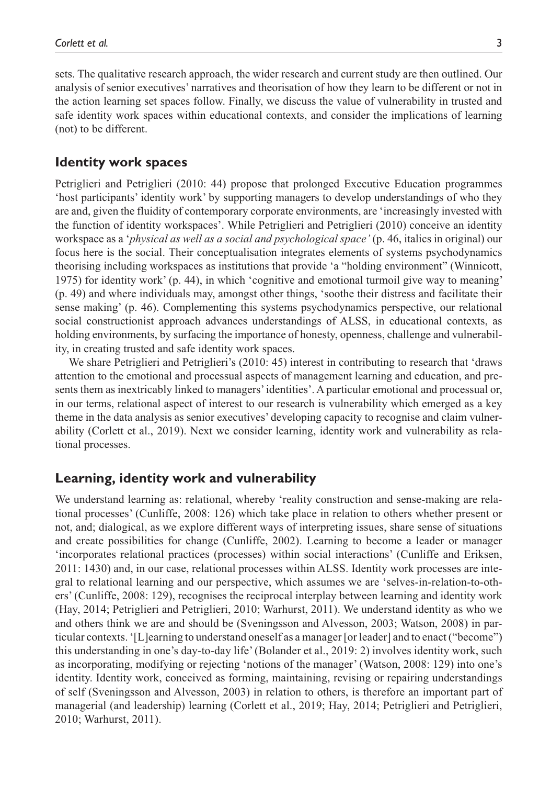sets. The qualitative research approach, the wider research and current study are then outlined. Our analysis of senior executives' narratives and theorisation of how they learn to be different or not in the action learning set spaces follow. Finally, we discuss the value of vulnerability in trusted and safe identity work spaces within educational contexts, and consider the implications of learning (not) to be different.

## **Identity work spaces**

Petriglieri and Petriglieri (2010: 44) propose that prolonged Executive Education programmes 'host participants' identity work' by supporting managers to develop understandings of who they are and, given the fluidity of contemporary corporate environments, are 'increasingly invested with the function of identity workspaces'. While Petriglieri and Petriglieri (2010) conceive an identity workspace as a '*physical as well as a social and psychological space'* (p. 46, italics in original) our focus here is the social. Their conceptualisation integrates elements of systems psychodynamics theorising including workspaces as institutions that provide 'a "holding environment" (Winnicott, 1975) for identity work' (p. 44), in which 'cognitive and emotional turmoil give way to meaning' (p. 49) and where individuals may, amongst other things, 'soothe their distress and facilitate their sense making' (p. 46). Complementing this systems psychodynamics perspective, our relational social constructionist approach advances understandings of ALSS, in educational contexts, as holding environments, by surfacing the importance of honesty, openness, challenge and vulnerability, in creating trusted and safe identity work spaces.

We share Petriglieri and Petriglieri's (2010: 45) interest in contributing to research that 'draws attention to the emotional and processual aspects of management learning and education, and presents them as inextricably linked to managers' identities'. A particular emotional and processual or, in our terms, relational aspect of interest to our research is vulnerability which emerged as a key theme in the data analysis as senior executives' developing capacity to recognise and claim vulnerability (Corlett et al., 2019). Next we consider learning, identity work and vulnerability as relational processes.

# **Learning, identity work and vulnerability**

We understand learning as: relational, whereby 'reality construction and sense-making are relational processes' (Cunliffe, 2008: 126) which take place in relation to others whether present or not, and; dialogical, as we explore different ways of interpreting issues, share sense of situations and create possibilities for change (Cunliffe, 2002). Learning to become a leader or manager 'incorporates relational practices (processes) within social interactions' (Cunliffe and Eriksen, 2011: 1430) and, in our case, relational processes within ALSS. Identity work processes are integral to relational learning and our perspective, which assumes we are 'selves-in-relation-to-others' (Cunliffe, 2008: 129), recognises the reciprocal interplay between learning and identity work (Hay, 2014; Petriglieri and Petriglieri, 2010; Warhurst, 2011). We understand identity as who we and others think we are and should be (Sveningsson and Alvesson, 2003; Watson, 2008) in particular contexts. '[L]earning to understand oneself as a manager [or leader] and to enact ("become") this understanding in one's day-to-day life' (Bolander et al., 2019: 2) involves identity work, such as incorporating, modifying or rejecting 'notions of the manager' (Watson, 2008: 129) into one's identity. Identity work, conceived as forming, maintaining, revising or repairing understandings of self (Sveningsson and Alvesson, 2003) in relation to others, is therefore an important part of managerial (and leadership) learning (Corlett et al., 2019; Hay, 2014; Petriglieri and Petriglieri, 2010; Warhurst, 2011).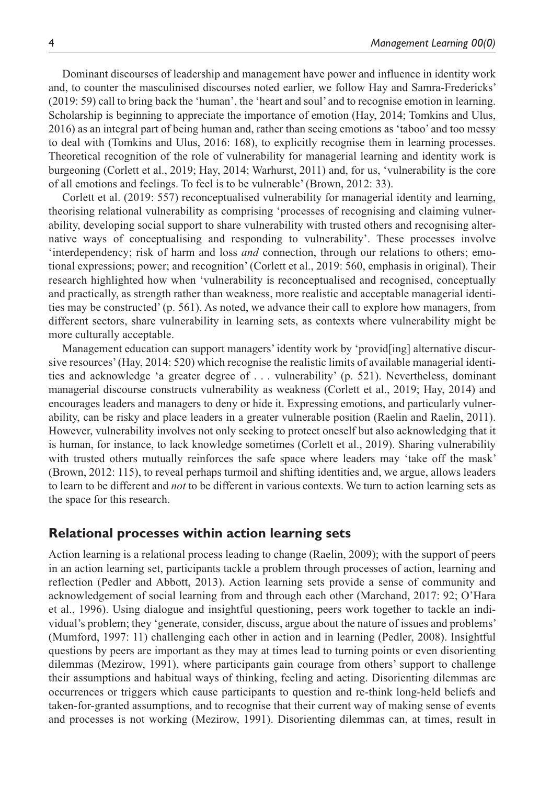Dominant discourses of leadership and management have power and influence in identity work and, to counter the masculinised discourses noted earlier, we follow Hay and Samra-Fredericks' (2019: 59) call to bring back the 'human', the 'heart and soul' and to recognise emotion in learning. Scholarship is beginning to appreciate the importance of emotion (Hay, 2014; Tomkins and Ulus, 2016) as an integral part of being human and, rather than seeing emotions as 'taboo' and too messy to deal with (Tomkins and Ulus, 2016: 168), to explicitly recognise them in learning processes. Theoretical recognition of the role of vulnerability for managerial learning and identity work is burgeoning (Corlett et al., 2019; Hay, 2014; Warhurst, 2011) and, for us, 'vulnerability is the core of all emotions and feelings. To feel is to be vulnerable' (Brown, 2012: 33).

Corlett et al. (2019: 557) reconceptualised vulnerability for managerial identity and learning, theorising relational vulnerability as comprising 'processes of recognising and claiming vulnerability, developing social support to share vulnerability with trusted others and recognising alternative ways of conceptualising and responding to vulnerability'. These processes involve 'interdependency; risk of harm and loss *and* connection, through our relations to others; emotional expressions; power; and recognition' (Corlett et al., 2019: 560, emphasis in original). Their research highlighted how when 'vulnerability is reconceptualised and recognised, conceptually and practically, as strength rather than weakness, more realistic and acceptable managerial identities may be constructed' (p. 561). As noted, we advance their call to explore how managers, from different sectors, share vulnerability in learning sets, as contexts where vulnerability might be more culturally acceptable.

Management education can support managers' identity work by 'provid[ing] alternative discursive resources' (Hay, 2014: 520) which recognise the realistic limits of available managerial identities and acknowledge 'a greater degree of . . . vulnerability' (p. 521). Nevertheless, dominant managerial discourse constructs vulnerability as weakness (Corlett et al., 2019; Hay, 2014) and encourages leaders and managers to deny or hide it. Expressing emotions, and particularly vulnerability, can be risky and place leaders in a greater vulnerable position (Raelin and Raelin, 2011). However, vulnerability involves not only seeking to protect oneself but also acknowledging that it is human, for instance, to lack knowledge sometimes (Corlett et al., 2019). Sharing vulnerability with trusted others mutually reinforces the safe space where leaders may 'take off the mask' (Brown, 2012: 115), to reveal perhaps turmoil and shifting identities and, we argue, allows leaders to learn to be different and *not* to be different in various contexts. We turn to action learning sets as the space for this research.

#### **Relational processes within action learning sets**

Action learning is a relational process leading to change (Raelin, 2009); with the support of peers in an action learning set, participants tackle a problem through processes of action, learning and reflection (Pedler and Abbott, 2013). Action learning sets provide a sense of community and acknowledgement of social learning from and through each other (Marchand, 2017: 92; O'Hara et al., 1996). Using dialogue and insightful questioning, peers work together to tackle an individual's problem; they 'generate, consider, discuss, argue about the nature of issues and problems' (Mumford, 1997: 11) challenging each other in action and in learning (Pedler, 2008). Insightful questions by peers are important as they may at times lead to turning points or even disorienting dilemmas (Mezirow, 1991), where participants gain courage from others' support to challenge their assumptions and habitual ways of thinking, feeling and acting. Disorienting dilemmas are occurrences or triggers which cause participants to question and re-think long-held beliefs and taken-for-granted assumptions, and to recognise that their current way of making sense of events and processes is not working (Mezirow, 1991). Disorienting dilemmas can, at times, result in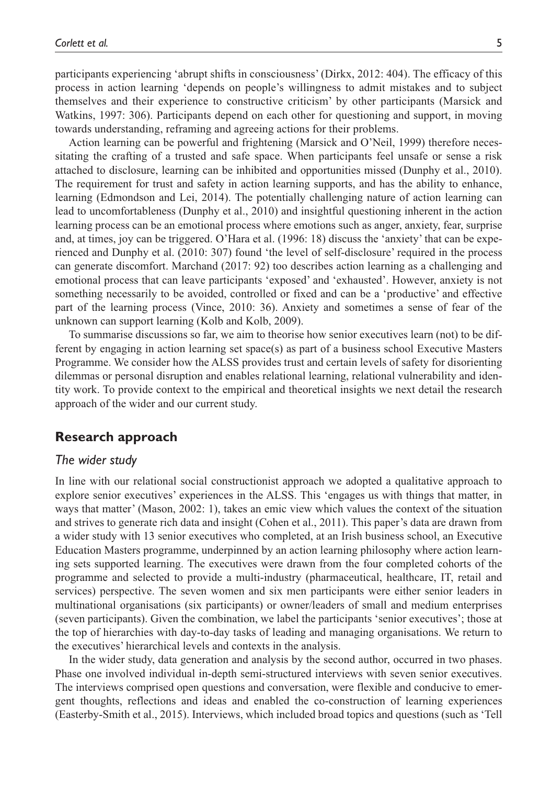participants experiencing 'abrupt shifts in consciousness' (Dirkx, 2012: 404). The efficacy of this process in action learning 'depends on people's willingness to admit mistakes and to subject themselves and their experience to constructive criticism' by other participants (Marsick and Watkins, 1997: 306). Participants depend on each other for questioning and support, in moving towards understanding, reframing and agreeing actions for their problems.

Action learning can be powerful and frightening (Marsick and O'Neil, 1999) therefore necessitating the crafting of a trusted and safe space. When participants feel unsafe or sense a risk attached to disclosure, learning can be inhibited and opportunities missed (Dunphy et al., 2010). The requirement for trust and safety in action learning supports, and has the ability to enhance, learning (Edmondson and Lei, 2014). The potentially challenging nature of action learning can lead to uncomfortableness (Dunphy et al., 2010) and insightful questioning inherent in the action learning process can be an emotional process where emotions such as anger, anxiety, fear, surprise and, at times, joy can be triggered. O'Hara et al. (1996: 18) discuss the 'anxiety' that can be experienced and Dunphy et al. (2010: 307) found 'the level of self-disclosure' required in the process can generate discomfort. Marchand (2017: 92) too describes action learning as a challenging and emotional process that can leave participants 'exposed' and 'exhausted'. However, anxiety is not something necessarily to be avoided, controlled or fixed and can be a 'productive' and effective part of the learning process (Vince, 2010: 36). Anxiety and sometimes a sense of fear of the unknown can support learning (Kolb and Kolb, 2009).

To summarise discussions so far, we aim to theorise how senior executives learn (not) to be different by engaging in action learning set space(s) as part of a business school Executive Masters Programme. We consider how the ALSS provides trust and certain levels of safety for disorienting dilemmas or personal disruption and enables relational learning, relational vulnerability and identity work. To provide context to the empirical and theoretical insights we next detail the research approach of the wider and our current study.

# **Research approach**

#### *The wider study*

In line with our relational social constructionist approach we adopted a qualitative approach to explore senior executives' experiences in the ALSS. This 'engages us with things that matter, in ways that matter' (Mason, 2002: 1), takes an emic view which values the context of the situation and strives to generate rich data and insight (Cohen et al., 2011). This paper's data are drawn from a wider study with 13 senior executives who completed, at an Irish business school, an Executive Education Masters programme, underpinned by an action learning philosophy where action learning sets supported learning. The executives were drawn from the four completed cohorts of the programme and selected to provide a multi-industry (pharmaceutical, healthcare, IT, retail and services) perspective. The seven women and six men participants were either senior leaders in multinational organisations (six participants) or owner/leaders of small and medium enterprises (seven participants). Given the combination, we label the participants 'senior executives'; those at the top of hierarchies with day-to-day tasks of leading and managing organisations. We return to the executives' hierarchical levels and contexts in the analysis.

In the wider study, data generation and analysis by the second author, occurred in two phases. Phase one involved individual in-depth semi-structured interviews with seven senior executives. The interviews comprised open questions and conversation, were flexible and conducive to emergent thoughts, reflections and ideas and enabled the co-construction of learning experiences (Easterby-Smith et al., 2015). Interviews, which included broad topics and questions (such as 'Tell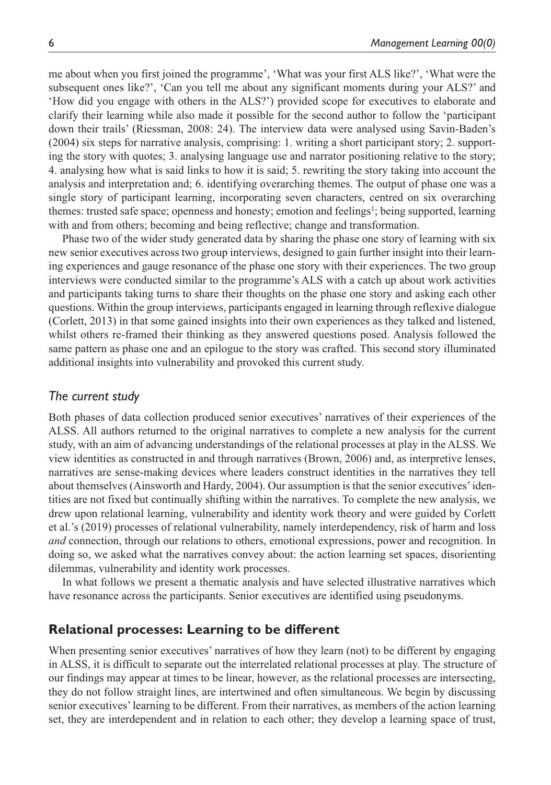me about when you first joined the programme', 'What was your first ALS like?', 'What were the subsequent ones like?', 'Can you tell me about any significant moments during your ALS?' and 'How did you engage with others in the ALS?') provided scope for executives to elaborate and clarify their learning while also made it possible for the second author to follow the 'participant down their trails' (Riessman, 2008: 24). The interview data were analysed using Savin-Baden's (2004) six steps for narrative analysis, comprising: 1. writing a short participant story; 2. supporting the story with quotes; 3. analysing language use and narrator positioning relative to the story; 4. analysing how what is said links to how it is said; 5. rewriting the story taking into account the analysis and interpretation and; 6. identifying overarching themes. The output of phase one was a single story of participant learning, incorporating seven characters, centred on six overarching themes: trusted safe space; openness and honesty; emotion and feelings<sup>1</sup>; being supported, learning with and from others; becoming and being reflective; change and transformation.

Phase two of the wider study generated data by sharing the phase one story of learning with six new senior executives across two group interviews, designed to gain further insight into their learning experiences and gauge resonance of the phase one story with their experiences. The two group interviews were conducted similar to the programme's ALS with a catch up about work activities and participants taking turns to share their thoughts on the phase one story and asking each other questions. Within the group interviews, participants engaged in learning through reflexive dialogue (Corlett, 2013) in that some gained insights into their own experiences as they talked and listened, whilst others re-framed their thinking as they answered questions posed. Analysis followed the same pattern as phase one and an epilogue to the story was crafted. This second story illuminated additional insights into vulnerability and provoked this current study.

## *The current study*

Both phases of data collection produced senior executives' narratives of their experiences of the ALSS. All authors returned to the original narratives to complete a new analysis for the current study, with an aim of advancing understandings of the relational processes at play in the ALSS. We view identities as constructed in and through narratives (Brown, 2006) and, as interpretive lenses, narratives are sense-making devices where leaders construct identities in the narratives they tell about themselves (Ainsworth and Hardy, 2004). Our assumption is that the senior executives' identities are not fixed but continually shifting within the narratives. To complete the new analysis, we drew upon relational learning, vulnerability and identity work theory and were guided by Corlett et al.'s (2019) processes of relational vulnerability, namely interdependency, risk of harm and loss *and* connection, through our relations to others, emotional expressions, power and recognition. In doing so, we asked what the narratives convey about: the action learning set spaces, disorienting dilemmas, vulnerability and identity work processes.

In what follows we present a thematic analysis and have selected illustrative narratives which have resonance across the participants. Senior executives are identified using pseudonyms.

#### **Relational processes: Learning to be different**

When presenting senior executives' narratives of how they learn (not) to be different by engaging in ALSS, it is difficult to separate out the interrelated relational processes at play. The structure of our findings may appear at times to be linear, however, as the relational processes are intersecting, they do not follow straight lines, are intertwined and often simultaneous. We begin by discussing senior executives' learning to be different. From their narratives, as members of the action learning set, they are interdependent and in relation to each other; they develop a learning space of trust,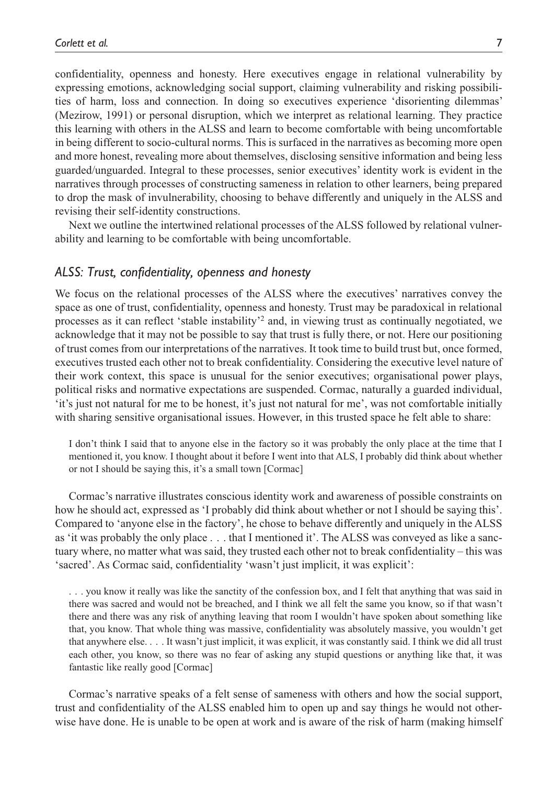confidentiality, openness and honesty. Here executives engage in relational vulnerability by expressing emotions, acknowledging social support, claiming vulnerability and risking possibilities of harm, loss and connection. In doing so executives experience 'disorienting dilemmas' (Mezirow, 1991) or personal disruption, which we interpret as relational learning. They practice this learning with others in the ALSS and learn to become comfortable with being uncomfortable in being different to socio-cultural norms. This is surfaced in the narratives as becoming more open and more honest, revealing more about themselves, disclosing sensitive information and being less guarded/unguarded. Integral to these processes, senior executives' identity work is evident in the narratives through processes of constructing sameness in relation to other learners, being prepared to drop the mask of invulnerability, choosing to behave differently and uniquely in the ALSS and revising their self-identity constructions.

Next we outline the intertwined relational processes of the ALSS followed by relational vulnerability and learning to be comfortable with being uncomfortable.

#### *ALSS: Trust, confidentiality, openness and honesty*

We focus on the relational processes of the ALSS where the executives' narratives convey the space as one of trust, confidentiality, openness and honesty. Trust may be paradoxical in relational processes as it can reflect 'stable instability'<sup>2</sup> and, in viewing trust as continually negotiated, we acknowledge that it may not be possible to say that trust is fully there, or not. Here our positioning of trust comes from our interpretations of the narratives. It took time to build trust but, once formed, executives trusted each other not to break confidentiality. Considering the executive level nature of their work context, this space is unusual for the senior executives; organisational power plays, political risks and normative expectations are suspended. Cormac, naturally a guarded individual, 'it's just not natural for me to be honest, it's just not natural for me', was not comfortable initially with sharing sensitive organisational issues. However, in this trusted space he felt able to share:

I don't think I said that to anyone else in the factory so it was probably the only place at the time that I mentioned it, you know. I thought about it before I went into that ALS, I probably did think about whether or not I should be saying this, it's a small town [Cormac]

Cormac's narrative illustrates conscious identity work and awareness of possible constraints on how he should act, expressed as 'I probably did think about whether or not I should be saying this'. Compared to 'anyone else in the factory', he chose to behave differently and uniquely in the ALSS as 'it was probably the only place . . . that I mentioned it'. The ALSS was conveyed as like a sanctuary where, no matter what was said, they trusted each other not to break confidentiality – this was 'sacred'. As Cormac said, confidentiality 'wasn't just implicit, it was explicit':

. . . you know it really was like the sanctity of the confession box, and I felt that anything that was said in there was sacred and would not be breached, and I think we all felt the same you know, so if that wasn't there and there was any risk of anything leaving that room I wouldn't have spoken about something like that, you know. That whole thing was massive, confidentiality was absolutely massive, you wouldn't get that anywhere else. . . . It wasn't just implicit, it was explicit, it was constantly said. I think we did all trust each other, you know, so there was no fear of asking any stupid questions or anything like that, it was fantastic like really good [Cormac]

Cormac's narrative speaks of a felt sense of sameness with others and how the social support, trust and confidentiality of the ALSS enabled him to open up and say things he would not otherwise have done. He is unable to be open at work and is aware of the risk of harm (making himself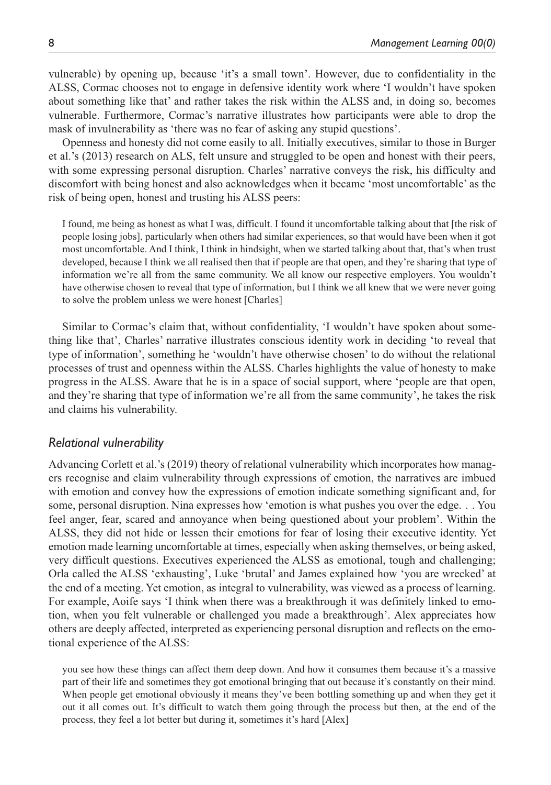vulnerable) by opening up, because 'it's a small town'. However, due to confidentiality in the ALSS, Cormac chooses not to engage in defensive identity work where 'I wouldn't have spoken about something like that' and rather takes the risk within the ALSS and, in doing so, becomes vulnerable. Furthermore, Cormac's narrative illustrates how participants were able to drop the mask of invulnerability as 'there was no fear of asking any stupid questions'.

Openness and honesty did not come easily to all. Initially executives, similar to those in Burger et al.'s (2013) research on ALS, felt unsure and struggled to be open and honest with their peers, with some expressing personal disruption. Charles' narrative conveys the risk, his difficulty and discomfort with being honest and also acknowledges when it became 'most uncomfortable' as the risk of being open, honest and trusting his ALSS peers:

I found, me being as honest as what I was, difficult. I found it uncomfortable talking about that [the risk of people losing jobs], particularly when others had similar experiences, so that would have been when it got most uncomfortable. And I think, I think in hindsight, when we started talking about that, that's when trust developed, because I think we all realised then that if people are that open, and they're sharing that type of information we're all from the same community. We all know our respective employers. You wouldn't have otherwise chosen to reveal that type of information, but I think we all knew that we were never going to solve the problem unless we were honest [Charles]

Similar to Cormac's claim that, without confidentiality, 'I wouldn't have spoken about something like that', Charles' narrative illustrates conscious identity work in deciding 'to reveal that type of information', something he 'wouldn't have otherwise chosen' to do without the relational processes of trust and openness within the ALSS. Charles highlights the value of honesty to make progress in the ALSS. Aware that he is in a space of social support, where 'people are that open, and they're sharing that type of information we're all from the same community', he takes the risk and claims his vulnerability.

## *Relational vulnerability*

Advancing Corlett et al.'s (2019) theory of relational vulnerability which incorporates how managers recognise and claim vulnerability through expressions of emotion, the narratives are imbued with emotion and convey how the expressions of emotion indicate something significant and, for some, personal disruption. Nina expresses how 'emotion is what pushes you over the edge. . . You feel anger, fear, scared and annoyance when being questioned about your problem'. Within the ALSS, they did not hide or lessen their emotions for fear of losing their executive identity. Yet emotion made learning uncomfortable at times, especially when asking themselves, or being asked, very difficult questions. Executives experienced the ALSS as emotional, tough and challenging; Orla called the ALSS 'exhausting', Luke 'brutal' and James explained how 'you are wrecked' at the end of a meeting. Yet emotion, as integral to vulnerability, was viewed as a process of learning. For example, Aoife says 'I think when there was a breakthrough it was definitely linked to emotion, when you felt vulnerable or challenged you made a breakthrough'. Alex appreciates how others are deeply affected, interpreted as experiencing personal disruption and reflects on the emotional experience of the ALSS:

you see how these things can affect them deep down. And how it consumes them because it's a massive part of their life and sometimes they got emotional bringing that out because it's constantly on their mind. When people get emotional obviously it means they've been bottling something up and when they get it out it all comes out. It's difficult to watch them going through the process but then, at the end of the process, they feel a lot better but during it, sometimes it's hard [Alex]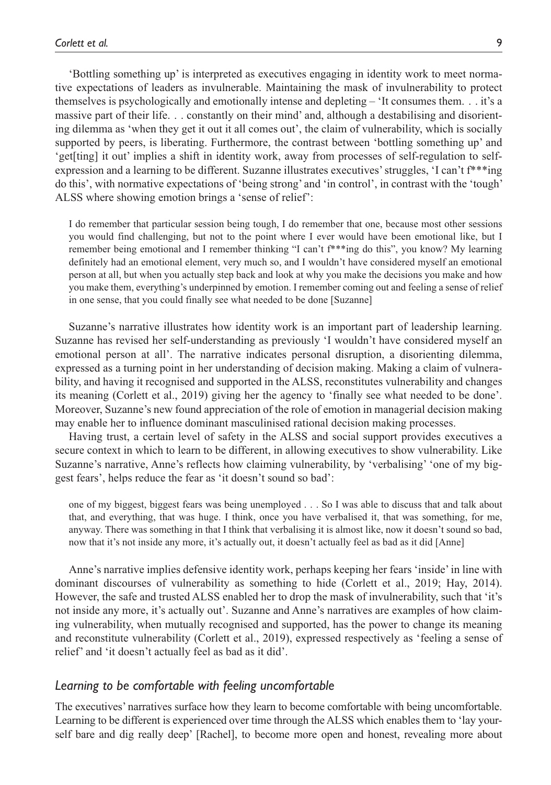'Bottling something up' is interpreted as executives engaging in identity work to meet normative expectations of leaders as invulnerable. Maintaining the mask of invulnerability to protect themselves is psychologically and emotionally intense and depleting – 'It consumes them. . . it's a massive part of their life. . . constantly on their mind' and, although a destabilising and disorienting dilemma as 'when they get it out it all comes out', the claim of vulnerability, which is socially supported by peers, is liberating. Furthermore, the contrast between 'bottling something up' and 'get[ting] it out' implies a shift in identity work, away from processes of self-regulation to selfexpression and a learning to be different. Suzanne illustrates executives' struggles, 'I can't f\*\*\*ing do this', with normative expectations of 'being strong' and 'in control', in contrast with the 'tough' ALSS where showing emotion brings a 'sense of relief':

I do remember that particular session being tough, I do remember that one, because most other sessions you would find challenging, but not to the point where I ever would have been emotional like, but I remember being emotional and I remember thinking "I can't f\*\*\*ing do this", you know? My learning definitely had an emotional element, very much so, and I wouldn't have considered myself an emotional person at all, but when you actually step back and look at why you make the decisions you make and how you make them, everything's underpinned by emotion. I remember coming out and feeling a sense of relief in one sense, that you could finally see what needed to be done [Suzanne]

Suzanne's narrative illustrates how identity work is an important part of leadership learning. Suzanne has revised her self-understanding as previously 'I wouldn't have considered myself an emotional person at all'. The narrative indicates personal disruption, a disorienting dilemma, expressed as a turning point in her understanding of decision making. Making a claim of vulnerability, and having it recognised and supported in the ALSS, reconstitutes vulnerability and changes its meaning (Corlett et al., 2019) giving her the agency to 'finally see what needed to be done'. Moreover, Suzanne's new found appreciation of the role of emotion in managerial decision making may enable her to influence dominant masculinised rational decision making processes.

Having trust, a certain level of safety in the ALSS and social support provides executives a secure context in which to learn to be different, in allowing executives to show vulnerability. Like Suzanne's narrative, Anne's reflects how claiming vulnerability, by 'verbalising' 'one of my biggest fears', helps reduce the fear as 'it doesn't sound so bad':

one of my biggest, biggest fears was being unemployed . . . So I was able to discuss that and talk about that, and everything, that was huge. I think, once you have verbalised it, that was something, for me, anyway. There was something in that I think that verbalising it is almost like, now it doesn't sound so bad, now that it's not inside any more, it's actually out, it doesn't actually feel as bad as it did [Anne]

Anne's narrative implies defensive identity work, perhaps keeping her fears 'inside' in line with dominant discourses of vulnerability as something to hide (Corlett et al., 2019; Hay, 2014). However, the safe and trusted ALSS enabled her to drop the mask of invulnerability, such that 'it's not inside any more, it's actually out'. Suzanne and Anne's narratives are examples of how claiming vulnerability, when mutually recognised and supported, has the power to change its meaning and reconstitute vulnerability (Corlett et al., 2019), expressed respectively as 'feeling a sense of relief' and 'it doesn't actually feel as bad as it did'.

#### *Learning to be comfortable with feeling uncomfortable*

The executives' narratives surface how they learn to become comfortable with being uncomfortable. Learning to be different is experienced over time through the ALSS which enables them to 'lay yourself bare and dig really deep' [Rachel], to become more open and honest, revealing more about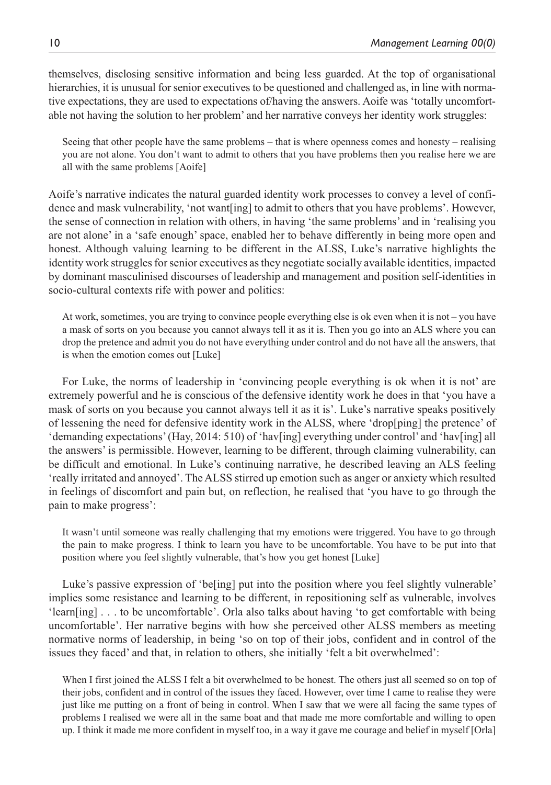themselves, disclosing sensitive information and being less guarded. At the top of organisational hierarchies, it is unusual for senior executives to be questioned and challenged as, in line with normative expectations, they are used to expectations of/having the answers. Aoife was 'totally uncomfortable not having the solution to her problem' and her narrative conveys her identity work struggles:

Seeing that other people have the same problems – that is where openness comes and honesty – realising you are not alone. You don't want to admit to others that you have problems then you realise here we are all with the same problems [Aoife]

Aoife's narrative indicates the natural guarded identity work processes to convey a level of confidence and mask vulnerability, 'not want[ing] to admit to others that you have problems'. However, the sense of connection in relation with others, in having 'the same problems' and in 'realising you are not alone' in a 'safe enough' space, enabled her to behave differently in being more open and honest. Although valuing learning to be different in the ALSS, Luke's narrative highlights the identity work struggles for senior executives as they negotiate socially available identities, impacted by dominant masculinised discourses of leadership and management and position self-identities in socio-cultural contexts rife with power and politics:

At work, sometimes, you are trying to convince people everything else is ok even when it is not – you have a mask of sorts on you because you cannot always tell it as it is. Then you go into an ALS where you can drop the pretence and admit you do not have everything under control and do not have all the answers, that is when the emotion comes out [Luke]

For Luke, the norms of leadership in 'convincing people everything is ok when it is not' are extremely powerful and he is conscious of the defensive identity work he does in that 'you have a mask of sorts on you because you cannot always tell it as it is'. Luke's narrative speaks positively of lessening the need for defensive identity work in the ALSS, where 'drop[ping] the pretence' of 'demanding expectations' (Hay, 2014: 510) of 'hav[ing] everything under control' and 'hav[ing] all the answers' is permissible. However, learning to be different, through claiming vulnerability, can be difficult and emotional. In Luke's continuing narrative, he described leaving an ALS feeling 'really irritated and annoyed'. The ALSS stirred up emotion such as anger or anxiety which resulted in feelings of discomfort and pain but, on reflection, he realised that 'you have to go through the pain to make progress':

It wasn't until someone was really challenging that my emotions were triggered. You have to go through the pain to make progress. I think to learn you have to be uncomfortable. You have to be put into that position where you feel slightly vulnerable, that's how you get honest [Luke]

Luke's passive expression of 'be[ing] put into the position where you feel slightly vulnerable' implies some resistance and learning to be different, in repositioning self as vulnerable, involves 'learn[ing] . . . to be uncomfortable'. Orla also talks about having 'to get comfortable with being uncomfortable'. Her narrative begins with how she perceived other ALSS members as meeting normative norms of leadership, in being 'so on top of their jobs, confident and in control of the issues they faced' and that, in relation to others, she initially 'felt a bit overwhelmed':

When I first joined the ALSS I felt a bit overwhelmed to be honest. The others just all seemed so on top of their jobs, confident and in control of the issues they faced. However, over time I came to realise they were just like me putting on a front of being in control. When I saw that we were all facing the same types of problems I realised we were all in the same boat and that made me more comfortable and willing to open up. I think it made me more confident in myself too, in a way it gave me courage and belief in myself [Orla]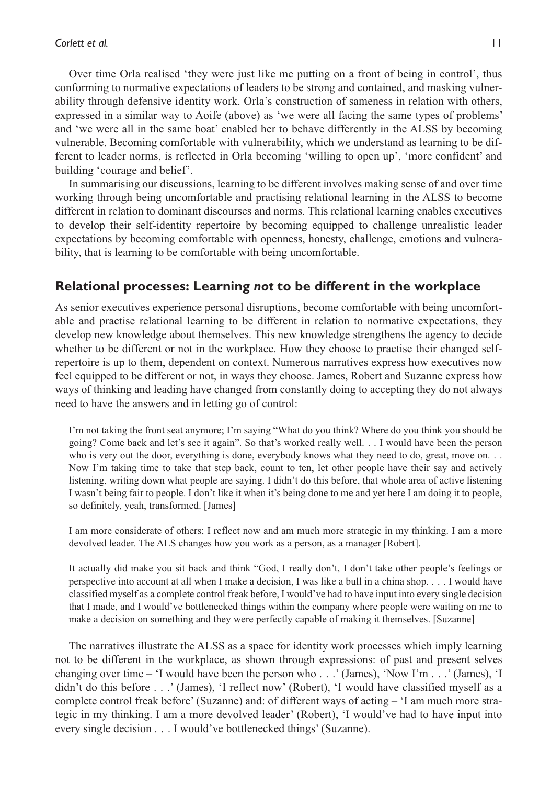Over time Orla realised 'they were just like me putting on a front of being in control', thus conforming to normative expectations of leaders to be strong and contained, and masking vulnerability through defensive identity work. Orla's construction of sameness in relation with others, expressed in a similar way to Aoife (above) as 'we were all facing the same types of problems' and 'we were all in the same boat' enabled her to behave differently in the ALSS by becoming vulnerable. Becoming comfortable with vulnerability, which we understand as learning to be different to leader norms, is reflected in Orla becoming 'willing to open up', 'more confident' and building 'courage and belief'.

In summarising our discussions, learning to be different involves making sense of and over time working through being uncomfortable and practising relational learning in the ALSS to become different in relation to dominant discourses and norms. This relational learning enables executives to develop their self-identity repertoire by becoming equipped to challenge unrealistic leader expectations by becoming comfortable with openness, honesty, challenge, emotions and vulnerability, that is learning to be comfortable with being uncomfortable.

# **Relational processes: Learning** *not* **to be different in the workplace**

As senior executives experience personal disruptions, become comfortable with being uncomfortable and practise relational learning to be different in relation to normative expectations, they develop new knowledge about themselves. This new knowledge strengthens the agency to decide whether to be different or not in the workplace. How they choose to practise their changed selfrepertoire is up to them, dependent on context. Numerous narratives express how executives now feel equipped to be different or not, in ways they choose. James, Robert and Suzanne express how ways of thinking and leading have changed from constantly doing to accepting they do not always need to have the answers and in letting go of control:

I'm not taking the front seat anymore; I'm saying "What do you think? Where do you think you should be going? Come back and let's see it again". So that's worked really well. . . I would have been the person who is very out the door, everything is done, everybody knows what they need to do, great, move on. . . Now I'm taking time to take that step back, count to ten, let other people have their say and actively listening, writing down what people are saying. I didn't do this before, that whole area of active listening I wasn't being fair to people. I don't like it when it's being done to me and yet here I am doing it to people, so definitely, yeah, transformed. [James]

I am more considerate of others; I reflect now and am much more strategic in my thinking. I am a more devolved leader. The ALS changes how you work as a person, as a manager [Robert].

It actually did make you sit back and think "God, I really don't, I don't take other people's feelings or perspective into account at all when I make a decision, I was like a bull in a china shop. . . . I would have classified myself as a complete control freak before, I would've had to have input into every single decision that I made, and I would've bottlenecked things within the company where people were waiting on me to make a decision on something and they were perfectly capable of making it themselves. [Suzanne]

The narratives illustrate the ALSS as a space for identity work processes which imply learning not to be different in the workplace, as shown through expressions: of past and present selves changing over time – 'I would have been the person who . . .' (James), 'Now I'm . . .' (James), 'I didn't do this before . . .' (James), 'I reflect now' (Robert), 'I would have classified myself as a complete control freak before' (Suzanne) and: of different ways of acting – 'I am much more strategic in my thinking. I am a more devolved leader' (Robert), 'I would've had to have input into every single decision . . . I would've bottlenecked things' (Suzanne).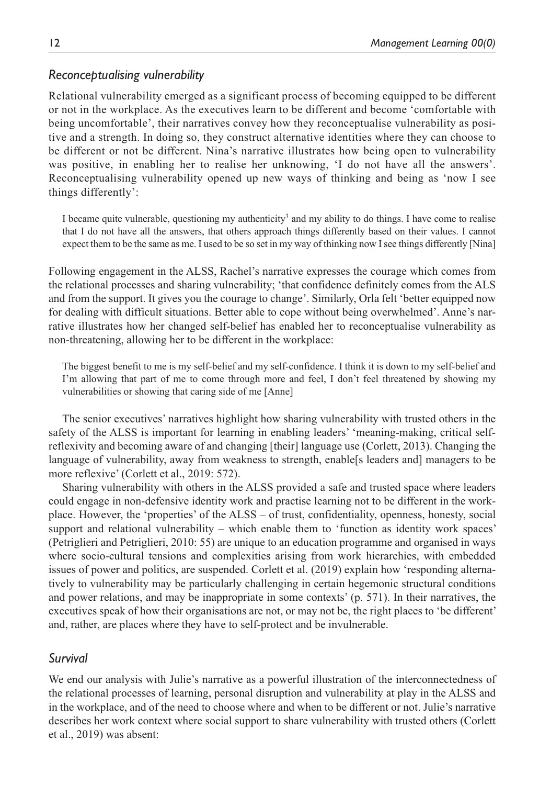# *Reconceptualising vulnerability*

Relational vulnerability emerged as a significant process of becoming equipped to be different or not in the workplace. As the executives learn to be different and become 'comfortable with being uncomfortable', their narratives convey how they reconceptualise vulnerability as positive and a strength. In doing so, they construct alternative identities where they can choose to be different or not be different. Nina's narrative illustrates how being open to vulnerability was positive, in enabling her to realise her unknowing, 'I do not have all the answers'. Reconceptualising vulnerability opened up new ways of thinking and being as 'now I see things differently':

I became quite vulnerable, questioning my authenticity<sup>3</sup> and my ability to do things. I have come to realise that I do not have all the answers, that others approach things differently based on their values. I cannot expect them to be the same as me. I used to be so set in my way of thinking now I see things differently [Nina]

Following engagement in the ALSS, Rachel's narrative expresses the courage which comes from the relational processes and sharing vulnerability; 'that confidence definitely comes from the ALS and from the support. It gives you the courage to change'. Similarly, Orla felt 'better equipped now for dealing with difficult situations. Better able to cope without being overwhelmed'. Anne's narrative illustrates how her changed self-belief has enabled her to reconceptualise vulnerability as non-threatening, allowing her to be different in the workplace:

The biggest benefit to me is my self-belief and my self-confidence. I think it is down to my self-belief and I'm allowing that part of me to come through more and feel, I don't feel threatened by showing my vulnerabilities or showing that caring side of me [Anne]

The senior executives' narratives highlight how sharing vulnerability with trusted others in the safety of the ALSS is important for learning in enabling leaders' 'meaning-making, critical selfreflexivity and becoming aware of and changing [their] language use (Corlett, 2013). Changing the language of vulnerability, away from weakness to strength, enable[s leaders and] managers to be more reflexive' (Corlett et al., 2019: 572).

Sharing vulnerability with others in the ALSS provided a safe and trusted space where leaders could engage in non-defensive identity work and practise learning not to be different in the workplace. However, the 'properties' of the ALSS – of trust, confidentiality, openness, honesty, social support and relational vulnerability – which enable them to 'function as identity work spaces' (Petriglieri and Petriglieri, 2010: 55) are unique to an education programme and organised in ways where socio-cultural tensions and complexities arising from work hierarchies, with embedded issues of power and politics, are suspended. Corlett et al. (2019) explain how 'responding alternatively to vulnerability may be particularly challenging in certain hegemonic structural conditions and power relations, and may be inappropriate in some contexts' (p. 571). In their narratives, the executives speak of how their organisations are not, or may not be, the right places to 'be different' and, rather, are places where they have to self-protect and be invulnerable.

# *Survival*

We end our analysis with Julie's narrative as a powerful illustration of the interconnectedness of the relational processes of learning, personal disruption and vulnerability at play in the ALSS and in the workplace, and of the need to choose where and when to be different or not. Julie's narrative describes her work context where social support to share vulnerability with trusted others (Corlett et al., 2019) was absent: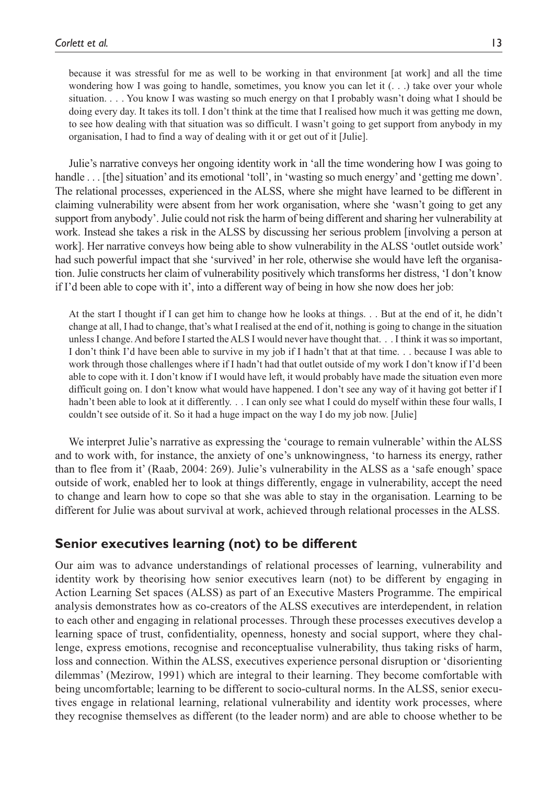because it was stressful for me as well to be working in that environment [at work] and all the time wondering how I was going to handle, sometimes, you know you can let it  $( \ldots )$  take over your whole situation. . . . You know I was wasting so much energy on that I probably wasn't doing what I should be doing every day. It takes its toll. I don't think at the time that I realised how much it was getting me down, to see how dealing with that situation was so difficult. I wasn't going to get support from anybody in my organisation, I had to find a way of dealing with it or get out of it [Julie].

Julie's narrative conveys her ongoing identity work in 'all the time wondering how I was going to handle . . . [the] situation' and its emotional 'toll', in 'wasting so much energy' and 'getting me down'. The relational processes, experienced in the ALSS, where she might have learned to be different in claiming vulnerability were absent from her work organisation, where she 'wasn't going to get any support from anybody'. Julie could not risk the harm of being different and sharing her vulnerability at work. Instead she takes a risk in the ALSS by discussing her serious problem [involving a person at work]. Her narrative conveys how being able to show vulnerability in the ALSS 'outlet outside work' had such powerful impact that she 'survived' in her role, otherwise she would have left the organisation. Julie constructs her claim of vulnerability positively which transforms her distress, 'I don't know if I'd been able to cope with it', into a different way of being in how she now does her job:

At the start I thought if I can get him to change how he looks at things. . . But at the end of it, he didn't change at all, I had to change, that's what I realised at the end of it, nothing is going to change in the situation unless I change. And before I started the ALS I would never have thought that. . . I think it was so important, I don't think I'd have been able to survive in my job if I hadn't that at that time. . . because I was able to work through those challenges where if I hadn't had that outlet outside of my work I don't know if I'd been able to cope with it. I don't know if I would have left, it would probably have made the situation even more difficult going on. I don't know what would have happened. I don't see any way of it having got better if I hadn't been able to look at it differently. . . I can only see what I could do myself within these four walls, I couldn't see outside of it. So it had a huge impact on the way I do my job now. [Julie]

We interpret Julie's narrative as expressing the 'courage to remain vulnerable' within the ALSS and to work with, for instance, the anxiety of one's unknowingness, 'to harness its energy, rather than to flee from it' (Raab, 2004: 269). Julie's vulnerability in the ALSS as a 'safe enough' space outside of work, enabled her to look at things differently, engage in vulnerability, accept the need to change and learn how to cope so that she was able to stay in the organisation. Learning to be different for Julie was about survival at work, achieved through relational processes in the ALSS.

# **Senior executives learning (not) to be different**

Our aim was to advance understandings of relational processes of learning, vulnerability and identity work by theorising how senior executives learn (not) to be different by engaging in Action Learning Set spaces (ALSS) as part of an Executive Masters Programme. The empirical analysis demonstrates how as co-creators of the ALSS executives are interdependent, in relation to each other and engaging in relational processes. Through these processes executives develop a learning space of trust, confidentiality, openness, honesty and social support, where they challenge, express emotions, recognise and reconceptualise vulnerability, thus taking risks of harm, loss and connection. Within the ALSS, executives experience personal disruption or 'disorienting dilemmas' (Mezirow, 1991) which are integral to their learning. They become comfortable with being uncomfortable; learning to be different to socio-cultural norms. In the ALSS, senior executives engage in relational learning, relational vulnerability and identity work processes, where they recognise themselves as different (to the leader norm) and are able to choose whether to be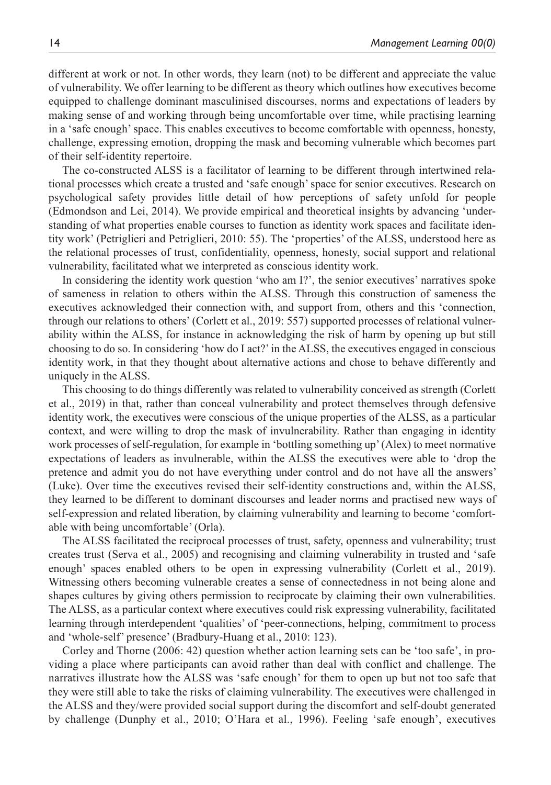different at work or not. In other words, they learn (not) to be different and appreciate the value of vulnerability. We offer learning to be different as theory which outlines how executives become equipped to challenge dominant masculinised discourses, norms and expectations of leaders by making sense of and working through being uncomfortable over time, while practising learning in a 'safe enough' space. This enables executives to become comfortable with openness, honesty, challenge, expressing emotion, dropping the mask and becoming vulnerable which becomes part of their self-identity repertoire.

The co-constructed ALSS is a facilitator of learning to be different through intertwined relational processes which create a trusted and 'safe enough' space for senior executives. Research on psychological safety provides little detail of how perceptions of safety unfold for people (Edmondson and Lei, 2014). We provide empirical and theoretical insights by advancing 'understanding of what properties enable courses to function as identity work spaces and facilitate identity work' (Petriglieri and Petriglieri, 2010: 55). The 'properties' of the ALSS, understood here as the relational processes of trust, confidentiality, openness, honesty, social support and relational vulnerability, facilitated what we interpreted as conscious identity work.

In considering the identity work question 'who am I?', the senior executives' narratives spoke of sameness in relation to others within the ALSS. Through this construction of sameness the executives acknowledged their connection with, and support from, others and this 'connection, through our relations to others' (Corlett et al., 2019: 557) supported processes of relational vulnerability within the ALSS, for instance in acknowledging the risk of harm by opening up but still choosing to do so. In considering 'how do I act?' in the ALSS, the executives engaged in conscious identity work, in that they thought about alternative actions and chose to behave differently and uniquely in the ALSS.

This choosing to do things differently was related to vulnerability conceived as strength (Corlett et al., 2019) in that, rather than conceal vulnerability and protect themselves through defensive identity work, the executives were conscious of the unique properties of the ALSS, as a particular context, and were willing to drop the mask of invulnerability. Rather than engaging in identity work processes of self-regulation, for example in 'bottling something up' (Alex) to meet normative expectations of leaders as invulnerable, within the ALSS the executives were able to 'drop the pretence and admit you do not have everything under control and do not have all the answers' (Luke). Over time the executives revised their self-identity constructions and, within the ALSS, they learned to be different to dominant discourses and leader norms and practised new ways of self-expression and related liberation, by claiming vulnerability and learning to become 'comfortable with being uncomfortable' (Orla).

The ALSS facilitated the reciprocal processes of trust, safety, openness and vulnerability; trust creates trust (Serva et al., 2005) and recognising and claiming vulnerability in trusted and 'safe enough' spaces enabled others to be open in expressing vulnerability (Corlett et al., 2019). Witnessing others becoming vulnerable creates a sense of connectedness in not being alone and shapes cultures by giving others permission to reciprocate by claiming their own vulnerabilities. The ALSS, as a particular context where executives could risk expressing vulnerability, facilitated learning through interdependent 'qualities' of 'peer-connections, helping, commitment to process and 'whole-self' presence' (Bradbury-Huang et al., 2010: 123).

Corley and Thorne (2006: 42) question whether action learning sets can be 'too safe', in providing a place where participants can avoid rather than deal with conflict and challenge. The narratives illustrate how the ALSS was 'safe enough' for them to open up but not too safe that they were still able to take the risks of claiming vulnerability. The executives were challenged in the ALSS and they/were provided social support during the discomfort and self-doubt generated by challenge (Dunphy et al., 2010; O'Hara et al., 1996). Feeling 'safe enough', executives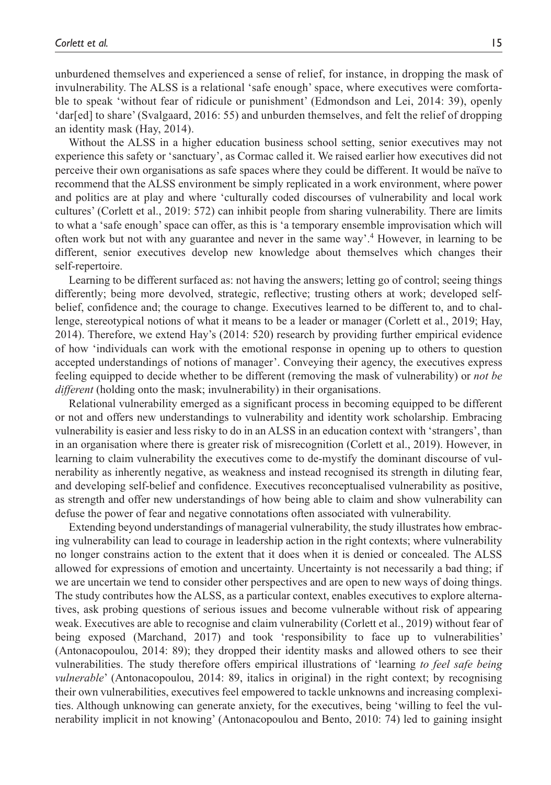unburdened themselves and experienced a sense of relief, for instance, in dropping the mask of invulnerability. The ALSS is a relational 'safe enough' space, where executives were comfortable to speak 'without fear of ridicule or punishment' (Edmondson and Lei, 2014: 39), openly 'dar[ed] to share' (Svalgaard, 2016: 55) and unburden themselves, and felt the relief of dropping an identity mask (Hay, 2014).

Without the ALSS in a higher education business school setting, senior executives may not experience this safety or 'sanctuary', as Cormac called it. We raised earlier how executives did not perceive their own organisations as safe spaces where they could be different. It would be naïve to recommend that the ALSS environment be simply replicated in a work environment, where power and politics are at play and where 'culturally coded discourses of vulnerability and local work cultures' (Corlett et al., 2019: 572) can inhibit people from sharing vulnerability. There are limits to what a 'safe enough' space can offer, as this is 'a temporary ensemble improvisation which will often work but not with any guarantee and never in the same way'.4 However, in learning to be different, senior executives develop new knowledge about themselves which changes their self-repertoire.

Learning to be different surfaced as: not having the answers; letting go of control; seeing things differently; being more devolved, strategic, reflective; trusting others at work; developed selfbelief, confidence and; the courage to change. Executives learned to be different to, and to challenge, stereotypical notions of what it means to be a leader or manager (Corlett et al., 2019; Hay, 2014). Therefore, we extend Hay's (2014: 520) research by providing further empirical evidence of how 'individuals can work with the emotional response in opening up to others to question accepted understandings of notions of manager'. Conveying their agency, the executives express feeling equipped to decide whether to be different (removing the mask of vulnerability) or *not be different* (holding onto the mask; invulnerability) in their organisations.

Relational vulnerability emerged as a significant process in becoming equipped to be different or not and offers new understandings to vulnerability and identity work scholarship. Embracing vulnerability is easier and less risky to do in an ALSS in an education context with 'strangers', than in an organisation where there is greater risk of misrecognition (Corlett et al., 2019). However, in learning to claim vulnerability the executives come to de-mystify the dominant discourse of vulnerability as inherently negative, as weakness and instead recognised its strength in diluting fear, and developing self-belief and confidence. Executives reconceptualised vulnerability as positive, as strength and offer new understandings of how being able to claim and show vulnerability can defuse the power of fear and negative connotations often associated with vulnerability.

Extending beyond understandings of managerial vulnerability, the study illustrates how embracing vulnerability can lead to courage in leadership action in the right contexts; where vulnerability no longer constrains action to the extent that it does when it is denied or concealed. The ALSS allowed for expressions of emotion and uncertainty. Uncertainty is not necessarily a bad thing; if we are uncertain we tend to consider other perspectives and are open to new ways of doing things. The study contributes how the ALSS, as a particular context, enables executives to explore alternatives, ask probing questions of serious issues and become vulnerable without risk of appearing weak. Executives are able to recognise and claim vulnerability (Corlett et al., 2019) without fear of being exposed (Marchand, 2017) and took 'responsibility to face up to vulnerabilities' (Antonacopoulou, 2014: 89); they dropped their identity masks and allowed others to see their vulnerabilities. The study therefore offers empirical illustrations of 'learning *to feel safe being vulnerable*' (Antonacopoulou, 2014: 89, italics in original) in the right context; by recognising their own vulnerabilities, executives feel empowered to tackle unknowns and increasing complexities. Although unknowing can generate anxiety, for the executives, being 'willing to feel the vulnerability implicit in not knowing' (Antonacopoulou and Bento, 2010: 74) led to gaining insight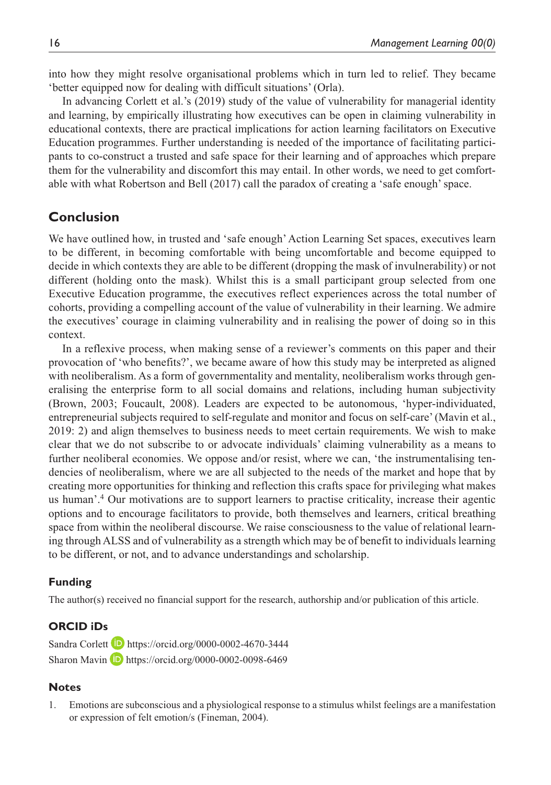into how they might resolve organisational problems which in turn led to relief. They became 'better equipped now for dealing with difficult situations' (Orla).

In advancing Corlett et al.'s (2019) study of the value of vulnerability for managerial identity and learning, by empirically illustrating how executives can be open in claiming vulnerability in educational contexts, there are practical implications for action learning facilitators on Executive Education programmes. Further understanding is needed of the importance of facilitating participants to co-construct a trusted and safe space for their learning and of approaches which prepare them for the vulnerability and discomfort this may entail. In other words, we need to get comfortable with what Robertson and Bell (2017) call the paradox of creating a 'safe enough' space.

# **Conclusion**

We have outlined how, in trusted and 'safe enough' Action Learning Set spaces, executives learn to be different, in becoming comfortable with being uncomfortable and become equipped to decide in which contexts they are able to be different (dropping the mask of invulnerability) or not different (holding onto the mask). Whilst this is a small participant group selected from one Executive Education programme, the executives reflect experiences across the total number of cohorts, providing a compelling account of the value of vulnerability in their learning. We admire the executives' courage in claiming vulnerability and in realising the power of doing so in this context.

In a reflexive process, when making sense of a reviewer's comments on this paper and their provocation of 'who benefits?', we became aware of how this study may be interpreted as aligned with neoliberalism. As a form of governmentality and mentality, neoliberalism works through generalising the enterprise form to all social domains and relations, including human subjectivity (Brown, 2003; Foucault, 2008). Leaders are expected to be autonomous, 'hyper-individuated, entrepreneurial subjects required to self-regulate and monitor and focus on self-care' (Mavin et al., 2019: 2) and align themselves to business needs to meet certain requirements. We wish to make clear that we do not subscribe to or advocate individuals' claiming vulnerability as a means to further neoliberal economies. We oppose and/or resist, where we can, 'the instrumentalising tendencies of neoliberalism, where we are all subjected to the needs of the market and hope that by creating more opportunities for thinking and reflection this crafts space for privileging what makes us human'.4 Our motivations are to support learners to practise criticality, increase their agentic options and to encourage facilitators to provide, both themselves and learners, critical breathing space from within the neoliberal discourse. We raise consciousness to the value of relational learning through ALSS and of vulnerability as a strength which may be of benefit to individuals learning to be different, or not, and to advance understandings and scholarship.

#### **Funding**

The author(s) received no financial support for the research, authorship and/or publication of this article.

## **ORCID iDs**

Sandra Corlett **b** <https://orcid.org/0000-0002-4670-3444> Sharon Mavin **D** <https://orcid.org/0000-0002-0098-6469>

#### **Notes**

1. Emotions are subconscious and a physiological response to a stimulus whilst feelings are a manifestation or expression of felt emotion/s (Fineman, 2004).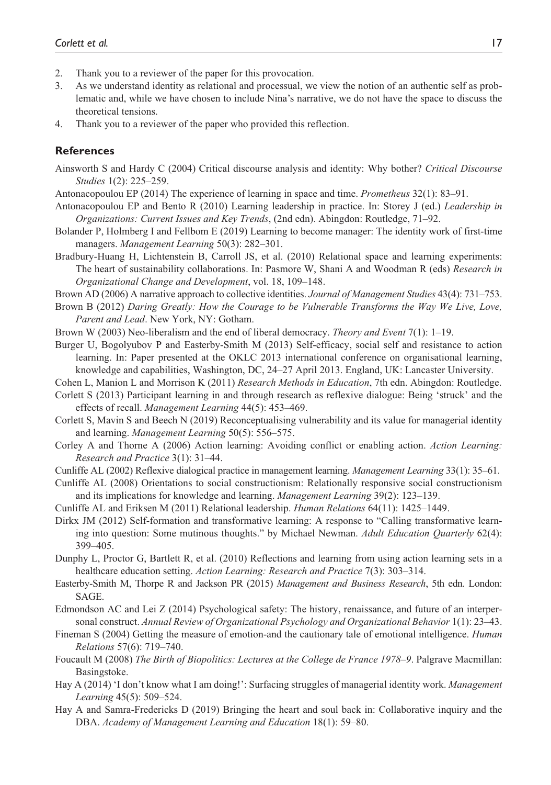- 2. Thank you to a reviewer of the paper for this provocation.
- 3. As we understand identity as relational and processual, we view the notion of an authentic self as problematic and, while we have chosen to include Nina's narrative, we do not have the space to discuss the theoretical tensions.
- 4. Thank you to a reviewer of the paper who provided this reflection.

#### **References**

- Ainsworth S and Hardy C (2004) Critical discourse analysis and identity: Why bother? *Critical Discourse Studies* 1(2): 225–259.
- Antonacopoulou EP (2014) The experience of learning in space and time. *Prometheus* 32(1): 83–91.
- Antonacopoulou EP and Bento R (2010) Learning leadership in practice. In: Storey J (ed.) *Leadership in Organizations: Current Issues and Key Trends*, (2nd edn). Abingdon: Routledge, 71–92.
- Bolander P, Holmberg I and Fellbom E (2019) Learning to become manager: The identity work of first-time managers. *Management Learning* 50(3): 282–301.
- Bradbury-Huang H, Lichtenstein B, Carroll JS, et al. (2010) Relational space and learning experiments: The heart of sustainability collaborations. In: Pasmore W, Shani A and Woodman R (eds) *Research in Organizational Change and Development*, vol. 18, 109–148.
- Brown AD (2006) A narrative approach to collective identities. *Journal of Management Studies* 43(4): 731–753.
- Brown B (2012) *Daring Greatly: How the Courage to be Vulnerable Transforms the Way We Live, Love, Parent and Lead*. New York, NY: Gotham.
- Brown W (2003) Neo-liberalism and the end of liberal democracy. *Theory and Event* 7(1): 1–19.
- Burger U, Bogolyubov P and Easterby-Smith M (2013) Self-efficacy, social self and resistance to action learning. In: Paper presented at the OKLC 2013 international conference on organisational learning, knowledge and capabilities, Washington, DC, 24–27 April 2013. England, UK: Lancaster University.
- Cohen L, Manion L and Morrison K (2011) *Research Methods in Education*, 7th edn. Abingdon: Routledge.
- Corlett S (2013) Participant learning in and through research as reflexive dialogue: Being 'struck' and the effects of recall. *Management Learning* 44(5): 453–469.
- Corlett S, Mavin S and Beech N (2019) Reconceptualising vulnerability and its value for managerial identity and learning. *Management Learning* 50(5): 556–575.
- Corley A and Thorne A (2006) Action learning: Avoiding conflict or enabling action. *Action Learning: Research and Practice* 3(1): 31–44.
- Cunliffe AL (2002) Reflexive dialogical practice in management learning. *Management Learning* 33(1): 35–61.
- Cunliffe AL (2008) Orientations to social constructionism: Relationally responsive social constructionism and its implications for knowledge and learning. *Management Learning* 39(2): 123–139.
- Cunliffe AL and Eriksen M (2011) Relational leadership. *Human Relations* 64(11): 1425–1449.
- Dirkx JM (2012) Self-formation and transformative learning: A response to "Calling transformative learning into question: Some mutinous thoughts." by Michael Newman. *Adult Education Quarterly* 62(4): 399–405.
- Dunphy L, Proctor G, Bartlett R, et al. (2010) Reflections and learning from using action learning sets in a healthcare education setting. *Action Learning: Research and Practice* 7(3): 303–314.
- Easterby-Smith M, Thorpe R and Jackson PR (2015) *Management and Business Research*, 5th edn. London: SAGE.
- Edmondson AC and Lei Z (2014) Psychological safety: The history, renaissance, and future of an interpersonal construct. *Annual Review of Organizational Psychology and Organizational Behavior* 1(1): 23–43.
- Fineman S (2004) Getting the measure of emotion-and the cautionary tale of emotional intelligence. *Human Relations* 57(6): 719–740.
- Foucault M (2008) *The Birth of Biopolitics: Lectures at the College de France 1978–9*. Palgrave Macmillan: Basingstoke.
- Hay A (2014) 'I don't know what I am doing!': Surfacing struggles of managerial identity work. *Management Learning* 45(5): 509–524.
- Hay A and Samra-Fredericks D (2019) Bringing the heart and soul back in: Collaborative inquiry and the DBA. *Academy of Management Learning and Education* 18(1): 59–80.